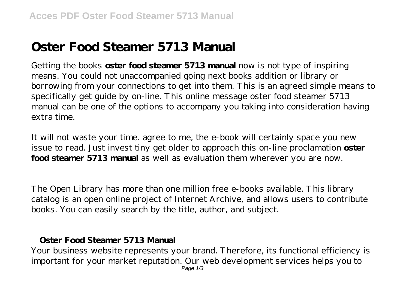## **Oster Food Steamer 5713 Manual**

Getting the books **oster food steamer 5713 manual** now is not type of inspiring means. You could not unaccompanied going next books addition or library or borrowing from your connections to get into them. This is an agreed simple means to specifically get guide by on-line. This online message oster food steamer 5713 manual can be one of the options to accompany you taking into consideration having extra time.

It will not waste your time. agree to me, the e-book will certainly space you new issue to read. Just invest tiny get older to approach this on-line proclamation **oster food steamer 5713 manual** as well as evaluation them wherever you are now.

The Open Library has more than one million free e-books available. This library catalog is an open online project of Internet Archive, and allows users to contribute books. You can easily search by the title, author, and subject.

## **Oster Food Steamer 5713 Manual**

Your business website represents your brand. Therefore, its functional efficiency is important for your market reputation. Our web development services helps you to Page  $1/3$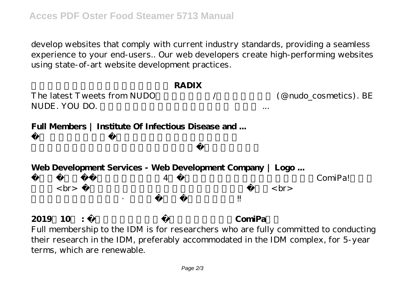develop websites that comply with current industry standards, providing a seamless experience to your end-users.. Our web developers create high-performing websites using state-of-art website development practices.

| <b>RADIX</b><br>The latest Tweets from NUDO<br>NUDE, YOU DO. | $\cdots$ | (@nudo_cosmetics). BE |
|--------------------------------------------------------------|----------|-----------------------|
| Full Members   Institute Of Infectious Disease and           |          |                       |
|                                                              |          |                       |
| Web Development Services - Web Development Company   Logo    |          |                       |
| 4<br>$>$ br>                                                 |          | ComiPal<br><br>br>    |

## **2019 10 : ComiPa**

Full membership to the IDM is for researchers who are fully committed to conducting their research in the IDM, preferably accommodated in the IDM complex, for 5-year terms, which are renewable.